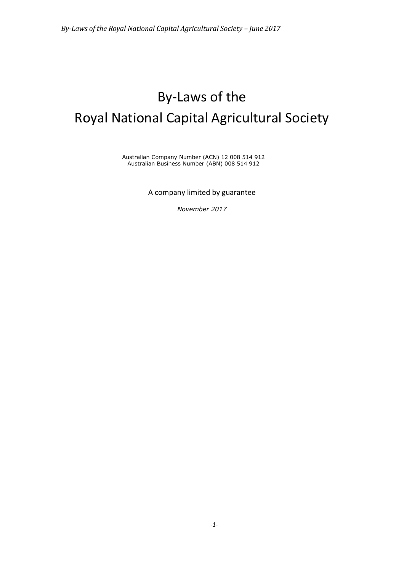# By-Laws of the Royal National Capital Agricultural Society

Australian Company Number (ACN) 12 008 514 912 Australian Business Number (ABN) 008 514 912

A company limited by guarantee

*November 2017*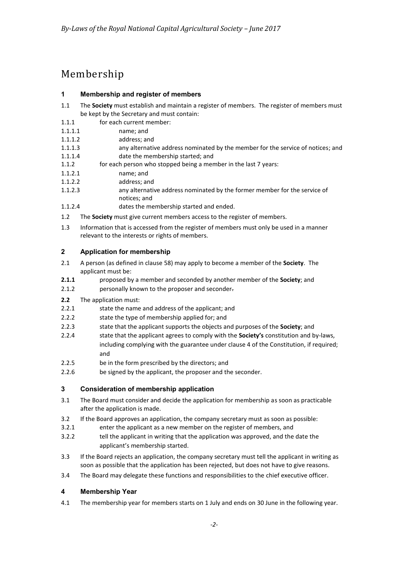# Membership

# **1 Membership and register of members**

- 1.1 The **Society** must establish and maintain a register of members. The register of members must be kept by the Secretary and must contain:
- 1.1.1 for each current member:
- 1.1.1.1 name; and
- 1.1.1.2 address; and
- 1.1.1.3 any alternative address nominated by the member for the service of notices; and 1.1.1.4 date the membership started; and
- 1.1.2 for each person who stopped being a member in the last 7 years:
- 1.1.2.1 name; and<br>1.1.2.2 address: are
- address; and
- 1.1.2.3 any alternative address nominated by the former member for the service of notices; and
- 1.1.2.4 dates the membership started and ended.
- 1.2 The **Society** must give current members access to the register of members.
- 1.3 Information that is accessed from the register of members must only be used in a manner relevant to the interests or rights of members.

#### **2 Application for membership**

- 2.1 A person (as defined in clause [58\)](#page-17-0) may apply to become a member of the **Society**. The applicant must be:
- **2.1.1** proposed by a member and seconded by another member of the **Society**; and
- 2.1.2 personally known to the proposer and seconder.
- **2.2** The application must:
- 2.2.1 state the name and address of the applicant; and
- 2.2.2 state the type of membership applied for; and
- 2.2.3 state that the applicant supports the objects and purposes of the **Society**; and
- 2.2.4 state that the applicant agrees to comply with the **Society's** constitution and by-laws, including complying with the guarantee under clause 4 of the Constitution, if required; and
- 2.2.5 be in the form prescribed by the directors; and
- 2.2.6 be signed by the applicant, the proposer and the seconder.

# **3 Consideration of membership application**

- 3.1 The Board must consider and decide the application for membership as soon as practicable after the application is made.
- 3.2 If the Board approves an application, the company secretary must as soon as possible:
- 3.2.1 enter the applicant as a new member on the register of members, and
- 3.2.2 tell the applicant in writing that the application was approved, and the date the applicant's membership started.
- 3.3 If the Board rejects an application, the company secretary must tell the applicant in writing as soon as possible that the application has been rejected, but does not have to give reasons.
- 3.4 The Board may delegate these functions and responsibilities to the chief executive officer.

# **4 Membership Year**

4.1 The membership year for members starts on 1 July and ends on 30 June in the following year.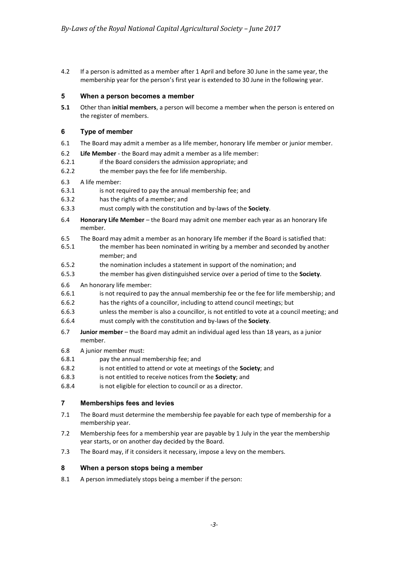4.2 If a person is admitted as a member after 1 April and before 30 June in the same year, the membership year for the person's first year is extended to 30 June in the following year.

#### **5 When a person becomes a member**

**5.1** Other than **initial members**, a person will become a member when the person is entered on the register of members.

#### **6 Type of member**

- 6.1 The Board may admit a member as a life member, honorary life member or junior member.
- 6.2 **Life Member** the Board may admit a member as a life member:
- 6.2.1 if the Board considers the admission appropriate; and
- 6.2.2 the member pays the fee for life membership.
- 6.3 A life member:
- 6.3.1 is not required to pay the annual membership fee; and
- 6.3.2 has the rights of a member; and
- 6.3.3 must comply with the constitution and by-laws of the **Society**.
- 6.4 **Honorary Life Member** the Board may admit one member each year as an honorary life member.
- 6.5 The Board may admit a member as an honorary life member if the Board is satisfied that:
- 6.5.1 the member has been nominated in writing by a member and seconded by another member; and
- 6.5.2 the nomination includes a statement in support of the nomination; and
- 6.5.3 the member has given distinguished service over a period of time to the **Society**.
- 6.6 An honorary life member:
- 6.6.1 is not required to pay the annual membership fee or the fee for life membership; and
- 6.6.2 has the rights of a councillor, including to attend council meetings; but
- 6.6.3 unless the member is also a councillor, is not entitled to vote at a council meeting; and
- 6.6.4 must comply with the constitution and by-laws of the **Society**.
- 6.7 **Junior member** the Board may admit an individual aged less than 18 years, as a junior member.
- 6.8 A junior member must:
- 6.8.1 pay the annual membership fee; and
- 6.8.2 is not entitled to attend or vote at meetings of the **Society**; and
- 6.8.3 is not entitled to receive notices from the **Society**; and
- 6.8.4 is not eligible for election to council or as a director.

# **7 Memberships fees and levies**

- 7.1 The Board must determine the membership fee payable for each type of membership for a membership year.
- 7.2 Membership fees for a membership year are payable by 1 July in the year the membership year starts, or on another day decided by the Board.
- 7.3 The Board may, if it considers it necessary, impose a levy on the members.

# **8 When a person stops being a member**

8.1 A person immediately stops being a member if the person: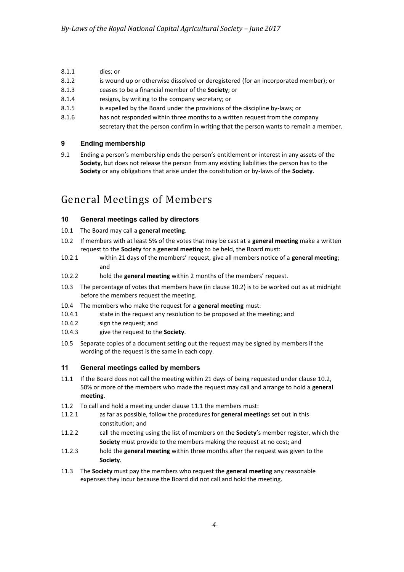- 8.1.1 dies; or
- 8.1.2 is wound up or otherwise dissolved or deregistered (for an incorporated member); or
- 8.1.3 ceases to be a financial member of the **Society**; or
- 8.1.4 resigns, by writing to the company secretary; or
- 8.1.5 is expelled by the Board under the provisions of the discipline by-laws; or
- 8.1.6 has not responded within three months to a written request from the company secretary that the person confirm in writing that the person wants to remain a member.

#### **9 Ending membership**

9.1 Ending a person's membership ends the person's entitlement or interest in any assets of the **Society**, but does not release the person from any existing liabilities the person has to the **Society** or any obligations that arise under the constitution or by-laws of the **Society**.

# General Meetings of Members

# **10 General meetings called by directors**

- 10.1 The Board may call a **general meeting**.
- <span id="page-3-0"></span>10.2 If members with at least 5% of the votes that may be cast at a **general meeting** make a written request to the **Society** for a **general meeting** to be held, the Board must:
- 10.2.1 within 21 days of the members' request, give all members notice of a **general meeting**; and
- 10.2.2 hold the **general meeting** within 2 months of the members' request.
- 10.3 The percentage of votes that members have (in clause [10.2\)](#page-3-0) is to be worked out as at midnight before the members request the meeting.
- 10.4 The members who make the request for a **general meeting** must:
- 10.4.1 state in the request any resolution to be proposed at the meeting; and
- 10.4.2 sign the request; and
- 10.4.3 give the request to the **Society**.
- 10.5 Separate copies of a document setting out the request may be signed by members if the wording of the request is the same in each copy.

#### **11 General meetings called by members**

- <span id="page-3-1"></span>11.1 If the Board does not call the meeting within 21 days of being requested under clause [10.2,](#page-3-0) 50% or more of the members who made the request may call and arrange to hold a **general meeting**.
- 11.2 To call and hold a meeting under claus[e 11.1](#page-3-1) the members must:
- 11.2.1 as far as possible, follow the procedures for **general meeting**s set out in this constitution; and
- 11.2.2 call the meeting using the list of members on the **Society**'s member register, which the **Society** must provide to the members making the request at no cost; and
- 11.2.3 hold the **general meeting** within three months after the request was given to the **Society**.
- 11.3 The **Society** must pay the members who request the **general meeting** any reasonable expenses they incur because the Board did not call and hold the meeting.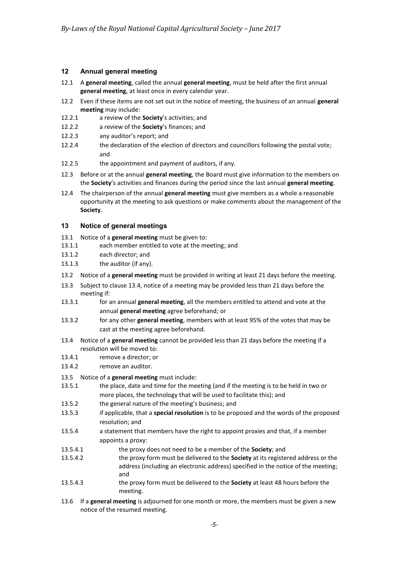#### **12 Annual general meeting**

- 12.1 A **general meeting**, called the annual **general meeting**, must be held after the first annual **general meeting**, at least once in every calendar year.
- 12.2 Even if these items are not set out in the notice of meeting, the business of an annual **general meeting** may include:
- 12.2.1 a review of the **Society**'s activities; and
- 12.2.2 a review of the **Society**'s finances; and
- 12.2.3 any auditor's report; and
- 12.2.4 the declaration of the election of directors and councillors following the postal vote; and
- 12.2.5 the appointment and payment of auditors, if any.
- 12.3 Before or at the annual **general meeting**, the Board must give information to the members on the **Society**'s activities and finances during the period since the last annual **general meeting**.
- 12.4 The chairperson of the annual **general meeting** must give members as a whole a reasonable opportunity at the meeting to ask questions or make comments about the management of the **Society**.

#### **13 Notice of general meetings**

- 13.1 Notice of a **general meeting** must be given to:
- 13.1.1 each member entitled to vote at the meeting; and
- 13.1.2 each director; and
- 13.1.3 the auditor (if any).
- 13.2 Notice of a **general meeting** must be provided in writing at least 21 days before the meeting.
- 13.3 Subject to clause 13.4, notice of a meeting may be provided less than 21 days before the meeting if:
- 13.3.1 for an annual **general meeting**, all the members entitled to attend and vote at the annual **general meeting** agree beforehand; or
- 13.3.2 for any other **general meeting**, members with at least 95% of the votes that may be cast at the meeting agree beforehand.
- 13.4 Notice of a **general meeting** cannot be provided less than 21 days before the meeting if a resolution will be moved to:
- 13.4.1 remove a director; or
- 13.4.2 remove an auditor.
- 13.5 Notice of a **general meeting** must include:
- 13.5.1 the place, date and time for the meeting (and if the meeting is to be held in two or more places, the technology that will be used to facilitate this); and
- 13.5.2 the general nature of the meeting's business; and
- 13.5.3 if applicable, that a **special resolution** is to be proposed and the words of the proposed resolution; and
- 13.5.4 a statement that members have the right to appoint proxies and that, if a member appoints a proxy:
- 13.5.4.1 the proxy does not need to be a member of the **Society**; and
- 13.5.4.2 the proxy form must be delivered to the **Society** at its registered address or the address (including an electronic address) specified in the notice of the meeting; and
- 13.5.4.3 the proxy form must be delivered to the **Society** at least 48 hours before the meeting.
- 13.6 If a **general meeting** is adjourned for one month or more, the members must be given a new notice of the resumed meeting.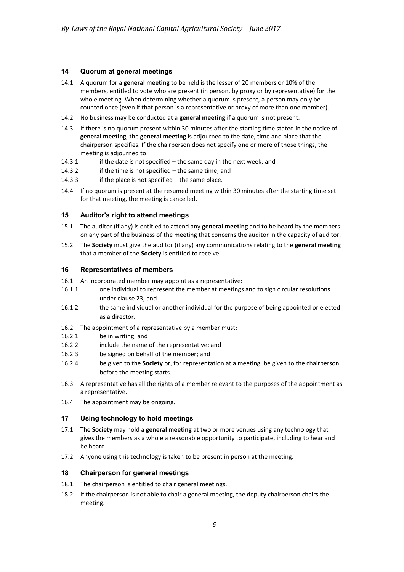#### **14 Quorum at general meetings**

- 14.1 A quorum for a **general meeting** to be held is the lesser of 20 members or 10% of the members, entitled to vote who are present (in person, by proxy or by representative) for the whole meeting. When determining whether a quorum is present, a person may only be counted once (even if that person is a representative or proxy of more than one member).
- 14.2 No business may be conducted at a **general meeting** if a quorum is not present.
- 14.3 If there is no quorum present within 30 minutes after the starting time stated in the notice of **general meeting**, the **general meeting** is adjourned to the date, time and place that the chairperson specifies. If the chairperson does not specify one or more of those things, the meeting is adjourned to:
- 14.3.1 if the date is not specified the same day in the next week; and
- 14.3.2 if the time is not specified the same time; and
- 14.3.3 if the place is not specified the same place.
- 14.4 If no quorum is present at the resumed meeting within 30 minutes after the starting time set for that meeting, the meeting is cancelled.

#### **15 Auditor's right to attend meetings**

- 15.1 The auditor (if any) is entitled to attend any **general meeting** and to be heard by the members on any part of the business of the meeting that concerns the auditor in the capacity of auditor.
- 15.2 The **Society** must give the auditor (if any) any communications relating to the **general meeting** that a member of the **Society** is entitled to receive.

#### <span id="page-5-0"></span>**16 Representatives of members**

- 16.1 An incorporated member may appoint as a representative:
- 16.1.1 one individual to represent the member at meetings and to sign circular resolutions under clause [23;](#page-7-0) and
- 16.1.2 the same individual or another individual for the purpose of being appointed or elected as a director.
- 16.2 The appointment of a representative by a member must:
- 16.2.1 be in writing; and
- 16.2.2 include the name of the representative; and
- 16.2.3 be signed on behalf of the member; and
- 16.2.4 be given to the **Society** or, for representation at a meeting, be given to the chairperson before the meeting starts.
- 16.3 A representative has all the rights of a member relevant to the purposes of the appointment as a representative.
- 16.4 The appointment may be ongoing.

#### **17 Using technology to hold meetings**

- 17.1 The **Society** may hold a **general meeting** at two or more venues using any technology that gives the members as a whole a reasonable opportunity to participate, including to hear and be heard.
- 17.2 Anyone using this technology is taken to be present in person at the meeting.

#### **18 Chairperson for general meetings**

- 18.1 The chairperson is entitled to chair general meetings.
- 18.2 If the chairperson is not able to chair a general meeting, the deputy chairperson chairs the meeting.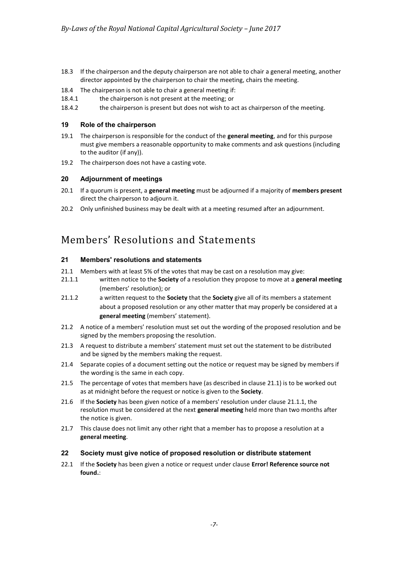- 18.3 If the chairperson and the deputy chairperson are not able to chair a general meeting, another director appointed by the chairperson to chair the meeting, chairs the meeting.
- 18.4 The chairperson is not able to chair a general meeting if:
- 18.4.1 the chairperson is not present at the meeting; or
- 18.4.2 the chairperson is present but does not wish to act as chairperson of the meeting.

#### **19 Role of the chairperson**

- 19.1 The chairperson is responsible for the conduct of the **general meeting**, and for this purpose must give members a reasonable opportunity to make comments and ask questions (including to the auditor (if any)).
- 19.2 The chairperson does not have a casting vote.

#### **20 Adjournment of meetings**

- 20.1 If a quorum is present, a **general meeting** must be adjourned if a majority of **members present** direct the chairperson to adjourn it.
- 20.2 Only unfinished business may be dealt with at a meeting resumed after an adjournment.

# Members' Resolutions and Statements

# **21 Members' resolutions and statements**

- <span id="page-6-0"></span>21.1 Members with at least 5% of the votes that may be cast on a resolution may give:
- <span id="page-6-1"></span>21.1.1 written notice to the **Society** of a resolution they propose to move at a **general meeting** (members' resolution); or
- 21.1.2 a written request to the **Society** that the **Society** give all of its members a statement about a proposed resolution or any other matter that may properly be considered at a **general meeting** (members' statement).
- 21.2 A notice of a members' resolution must set out the wording of the proposed resolution and be signed by the members proposing the resolution.
- 21.3 A request to distribute a members' statement must set out the statement to be distributed and be signed by the members making the request.
- 21.4 Separate copies of a document setting out the notice or request may be signed by members if the wording is the same in each copy.
- 21.5 The percentage of votes that members have (as described in clause [21.1\)](#page-6-0) is to be worked out as at midnight before the request or notice is given to the **Society**.
- 21.6 If the **Society** has been given notice of a members' resolution under clause [21.1.1,](#page-6-1) the resolution must be considered at the next **general meeting** held more than two months after the notice is given.
- 21.7 This clause does not limit any other right that a member has to propose a resolution at a **general meeting**.

# **22 Society must give notice of proposed resolution or distribute statement**

22.1 If the **Society** has been given a notice or request under clause **Error! Reference source not found.**: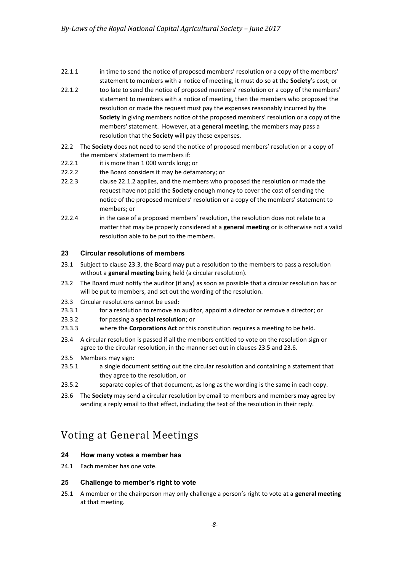- 22.1.1 in time to send the notice of proposed members' resolution or a copy of the members' statement to members with a notice of meeting, it must do so at the **Society**'s cost; or
- <span id="page-7-1"></span>22.1.2 too late to send the notice of proposed members' resolution or a copy of the members' statement to members with a notice of meeting, then the members who proposed the resolution or made the request must pay the expenses reasonably incurred by the **Society** in giving members notice of the proposed members' resolution or a copy of the members' statement. However, at a **general meeting**, the members may pass a resolution that the **Society** will pay these expenses.
- 22.2 The **Society** does not need to send the notice of proposed members' resolution or a copy of the members' statement to members if:
- 22.2.1 it is more than 1 000 words long; or
- 22.2.2 the Board considers it may be defamatory; or
- 22.2.3 claus[e 22.1.2](#page-7-1) applies, and the members who proposed the resolution or made the request have not paid the **Society** enough money to cover the cost of sending the notice of the proposed members' resolution or a copy of the members' statement to members; or
- 22.2.4 in the case of a proposed members' resolution, the resolution does not relate to a matter that may be properly considered at a **general meeting** or is otherwise not a valid resolution able to be put to the members.

#### <span id="page-7-0"></span>**23 Circular resolutions of members**

- 23.1 Subject to clause 23.3, the Board may put a resolution to the members to pass a resolution without a **general meeting** being held (a circular resolution).
- 23.2 The Board must notify the auditor (if any) as soon as possible that a circular resolution has or will be put to members, and set out the wording of the resolution.
- 23.3 Circular resolutions cannot be used:
- 23.3.1 for a resolution to remove an auditor, appoint a director or remove a director; or
- 23.3.2 for passing a **special resolution**; or
- 23.3.3 where the **Corporations Act** or this constitution requires a meeting to be held.
- 23.4 A circular resolution is passed if all the members entitled to vote on the resolution sign or agree to the circular resolution, in the manner set out in clauses [23.5](#page-7-2) and [23.6.](#page-7-3)
- <span id="page-7-2"></span>23.5 Members may sign:
- 23.5.1 a single document setting out the circular resolution and containing a statement that they agree to the resolution, or
- 23.5.2 separate copies of that document, as long as the wording is the same in each copy.
- <span id="page-7-3"></span>23.6 The **Society** may send a circular resolution by email to members and members may agree by sending a reply email to that effect, including the text of the resolution in their reply.

# Voting at General Meetings

# **24 How many votes a member has**

24.1 Each member has one vote.

#### **25 Challenge to member's right to vote**

25.1 A member or the chairperson may only challenge a person's right to vote at a **general meeting** at that meeting.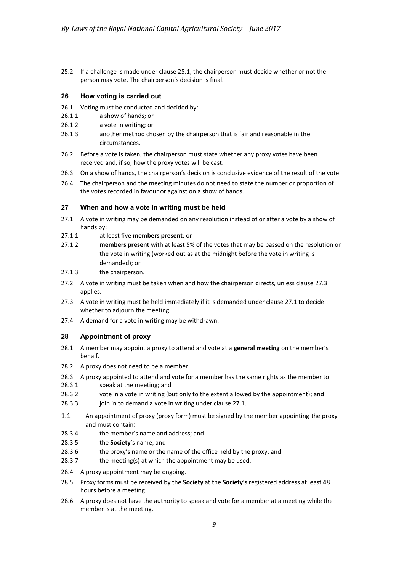25.2 If a challenge is made under clause 25.1, the chairperson must decide whether or not the person may vote. The chairperson's decision is final.

#### **26 How voting is carried out**

- 26.1 Voting must be conducted and decided by:
- 26.1.1 a show of hands; or
- 26.1.2 a vote in writing; or
- 26.1.3 another method chosen by the chairperson that is fair and reasonable in the circumstances.
- 26.2 Before a vote is taken, the chairperson must state whether any proxy votes have been received and, if so, how the proxy votes will be cast.
- 26.3 On a show of hands, the chairperson's decision is conclusive evidence of the result of the vote.
- 26.4 The chairperson and the meeting minutes do not need to state the number or proportion of the votes recorded in favour or against on a show of hands.

#### **27 When and how a vote in writing must be held**

- <span id="page-8-1"></span>27.1 A vote in writing may be demanded on any resolution instead of or after a vote by a show of hands by:<br>at l at l
- at least five **members present**; or
- 27.1.2 **members present** with at least 5% of the votes that may be passed on the resolution on the vote in writing (worked out as at the midnight before the vote in writing is demanded); or
- 27.1.3 the chairperson.
- 27.2 A vote in writing must be taken when and how the chairperson directs, unless clause [27.3](#page-8-0) applies.
- <span id="page-8-0"></span>27.3 A vote in writing must be held immediately if it is demanded under clause [27.1](#page-8-1) to decide whether to adjourn the meeting.
- 27.4 A demand for a vote in writing may be withdrawn.

# **28 Appointment of proxy**

- 28.1 A member may appoint a proxy to attend and vote at a **general meeting** on the member's behalf.
- 28.2 A proxy does not need to be a member.
- 28.3 A proxy appointed to attend and vote for a member has the same rights as the member to:
- 28.3.1 speak at the meeting; and
- 28.3.2 vote in a vote in writing (but only to the extent allowed by the appointment); and
- 28.3.3 join in to demand a vote in writing under clause [27.1.](#page-8-1)
- 1.1 An appointment of proxy (proxy form) must be signed by the member appointing the proxy and must contain:
- 28.3.4 the member's name and address; and
- 28.3.5 the **Society**'s name; and
- 28.3.6 the proxy's name or the name of the office held by the proxy; and
- 28.3.7 the meeting(s) at which the appointment may be used.
- 28.4 A proxy appointment may be ongoing.
- 28.5 Proxy forms must be received by the **Society** at the **Society**'s registered address at least 48 hours before a meeting.
- 28.6 A proxy does not have the authority to speak and vote for a member at a meeting while the member is at the meeting.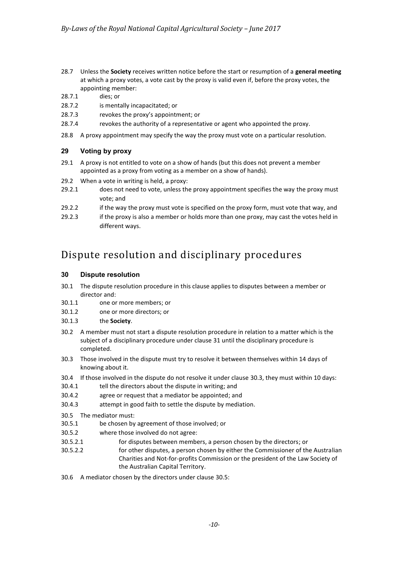- 28.7 Unless the **Society** receives written notice before the start or resumption of a **general meeting** at which a proxy votes, a vote cast by the proxy is valid even if, before the proxy votes, the appointing member:
- 28.7.1 dies; or
- 28.7.2 is mentally incapacitated; or
- 28.7.3 revokes the proxy's appointment; or
- 28.7.4 revokes the authority of a representative or agent who appointed the proxy.
- 28.8 A proxy appointment may specify the way the proxy must vote on a particular resolution.

# **29 Voting by proxy**

- 29.1 A proxy is not entitled to vote on a show of hands (but this does not prevent a member appointed as a proxy from voting as a member on a show of hands).
- 29.2 When a vote in writing is held, a proxy:<br>29.2.1 does not need to vote, unless the
- does not need to vote, unless the proxy appointment specifies the way the proxy must vote; and
- 29.2.2 if the way the proxy must vote is specified on the proxy form, must vote that way, and
- 29.2.3 if the proxy is also a member or holds more than one proxy, may cast the votes held in different ways.

# Dispute resolution and disciplinary procedures

#### **30 Dispute resolution**

- 30.1 The dispute resolution procedure in this clause applies to disputes between a member or director and:
- 30.1.1 one or more members; or
- 30.1.2 one or more directors; or
- 30.1.3 the **Society**.
- 30.2 A member must not start a dispute resolution procedure in relation to a matter which is the subject of a disciplinary procedure under clause [31](#page-10-0) until the disciplinary procedure is completed.
- <span id="page-9-0"></span>30.3 Those involved in the dispute must try to resolve it between themselves within 14 days of knowing about it.
- 30.4 If those involved in the dispute do not resolve it under clause [30.3,](#page-9-0) they must within 10 days:
- 30.4.1 tell the directors about the dispute in writing; and
- 30.4.2 agree or request that a mediator be appointed; and
- 30.4.3 attempt in good faith to settle the dispute by mediation.
- <span id="page-9-1"></span>30.5 The mediator must:
- 30.5.1 be chosen by agreement of those involved; or
- 30.5.2 where those involved do not agree:
- 30.5.2.1 for disputes between members, a person chosen by the directors; or
- 30.5.2.2 for other disputes, a person chosen by either the Commissioner of the Australian Charities and Not-for-profits Commission or the president of the Law Society of the Australian Capital Territory.
- 30.6 A mediator chosen by the directors under clause [30.5:](#page-9-1)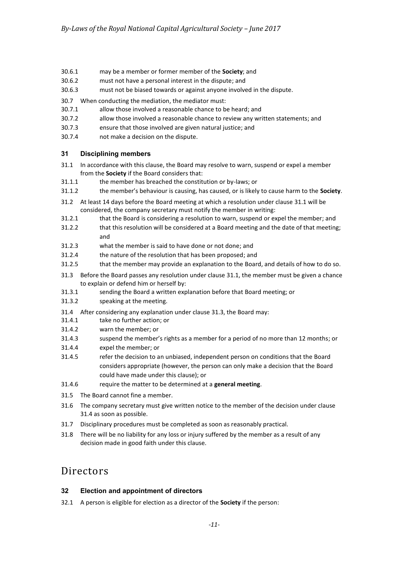- 30.6.1 may be a member or former member of the **Society**; and
- 30.6.2 must not have a personal interest in the dispute; and
- 30.6.3 must not be biased towards or against anyone involved in the dispute.
- 30.7 When conducting the mediation, the mediator must:<br>30.7.1 allow those involved a reasonable chance to b
- allow those involved a reasonable chance to be heard; and
- 30.7.2 allow those involved a reasonable chance to review any written statements; and
- 30.7.3 ensure that those involved are given natural justice; and
- 30.7.4 not make a decision on the dispute.

# <span id="page-10-0"></span>**31 Disciplining members**

- <span id="page-10-1"></span>31.1 In accordance with this clause, the Board may resolve to warn, suspend or expel a member from the **Society** if the Board considers that:
- 31.1.1 the member has breached the constitution or by-laws; or
- 31.1.2 the member's behaviour is causing, has caused, or is likely to cause harm to the **Society**.
- 31.2 At least 14 days before the Board meeting at which a resolution under claus[e 31.1](#page-10-1) will be considered, the company secretary must notify the member in writing:
- 31.2.1 that the Board is considering a resolution to warn, suspend or expel the member; and
- 31.2.2 that this resolution will be considered at a Board meeting and the date of that meeting; and
- 31.2.3 what the member is said to have done or not done; and
- 31.2.4 the nature of the resolution that has been proposed; and
- 31.2.5 that the member may provide an explanation to the Board, and details of how to do so.
- <span id="page-10-2"></span>31.3 Before the Board passes any resolution under clause [31.1,](#page-10-1) the member must be given a chance to explain or defend him or herself by:
- 31.3.1 sending the Board a written explanation before that Board meeting; or
- 31.3.2 speaking at the meeting.
- <span id="page-10-3"></span>31.4 After considering any explanation under clause [31.3,](#page-10-2) the Board may:
- 31.4.1 take no further action; or
- 31.4.2 warn the member; or
- 31.4.3 suspend the member's rights as a member for a period of no more than 12 months; or
- 31.4.4 expel the member; or
- 31.4.5 refer the decision to an unbiased, independent person on conditions that the Board considers appropriate (however, the person can only make a decision that the Board could have made under this clause); or
- 31.4.6 require the matter to be determined at a **general meeting**.
- 31.5 The Board cannot fine a member.
- 31.6 The company secretary must give written notice to the member of the decision under clause [31.4](#page-10-3) as soon as possible.
- 31.7 Disciplinary procedures must be completed as soon as reasonably practical.
- 31.8 There will be no liability for any loss or injury suffered by the member as a result of any decision made in good faith under this clause.

# **Directors**

# **32 Election and appointment of directors**

32.1 A person is eligible for election as a director of the **Society** if the person: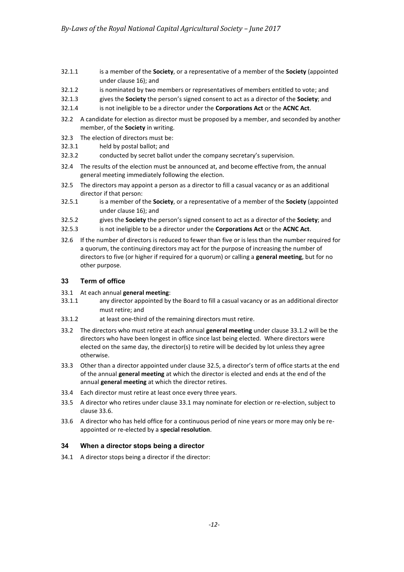- 32.1.1 is a member of the **Society**, or a representative of a member of the **Society** (appointed under clause [16\)](#page-5-0); and
- 32.1.2 is nominated by two members or representatives of members entitled to vote; and
- 32.1.3 gives the **Society** the person's signed consent to act as a director of the **Society**; and
- 32.1.4 is not ineligible to be a director under the **Corporations Act** or the **ACNC Act**.
- 32.2 A candidate for election as director must be proposed by a member, and seconded by another member, of the **Society** in writing.
- 32.3 The election of directors must be:
- 32.3.1 held by postal ballot; and
- 32.3.2 conducted by secret ballot under the company secretary's supervision.
- 32.4 The results of the election must be announced at, and become effective from, the annual general meeting immediately following the election.
- <span id="page-11-1"></span>32.5 The directors may appoint a person as a director to fill a casual vacancy or as an additional director if that person:
- 32.5.1 is a member of the **Society**, or a representative of a member of the **Society** (appointed under clause 16); and
- 32.5.2 gives the **Society** the person's signed consent to act as a director of the **Society**; and
- 32.5.3 is not ineligible to be a director under the **Corporations Act** or the **ACNC Act**.
- 32.6 If the number of directors is reduced to fewer than five or is less than the number required for a quorum, the continuing directors may act for the purpose of increasing the number of directors to five (or higher if required for a quorum) or calling a **general meeting**, but for no other purpose.

#### **33 Term of office**

- <span id="page-11-2"></span>33.1 At each annual **general meeting**:
- 33.1.1 any director appointed by the Board to fill a casual vacancy or as an additional director must retire; and
- <span id="page-11-0"></span>33.1.2 at least one-third of the remaining directors must retire.
- 33.2 The directors who must retire at each annual **general meeting** under claus[e 33.1.2](#page-11-0) will be the directors who have been longest in office since last being elected. Where directors were elected on the same day, the director(s) to retire will be decided by lot unless they agree otherwise.
- 33.3 Other than a director appointed under clause [32.5](#page-11-1), a director's term of office starts at the end of the annual **general meeting** at which the director is elected and ends at the end of the annual **general meeting** at which the director retires.
- 33.4 Each director must retire at least once every three years.
- 33.5 A director who retires under clause [33.1](#page-11-2) may nominate for election or re-election, subject to clause [33.6.](#page-11-3)
- <span id="page-11-3"></span>33.6 A director who has held office for a continuous period of nine years or more may only be reappointed or re-elected by a **special resolution**.

# **34 When a director stops being a director**

34.1 A director stops being a director if the director: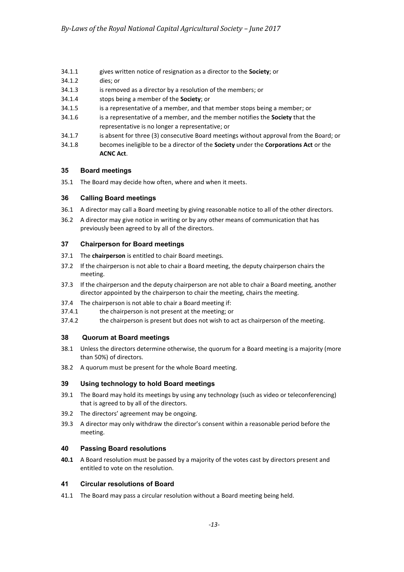- 34.1.1 gives written notice of resignation as a director to the **Society**; or
- 34.1.2 dies; or
- 34.1.3 is removed as a director by a resolution of the members; or
- 34.1.4 stops being a member of the **Society**; or
- 34.1.5 is a representative of a member, and that member stops being a member; or
- 34.1.6 is a representative of a member, and the member notifies the **Society** that the representative is no longer a representative; or
- 34.1.7 is absent for three (3) consecutive Board meetings without approval from the Board; or
- 34.1.8 becomes ineligible to be a director of the **Society** under the **Corporations Act** or the **ACNC Act**.

# **35 Board meetings**

35.1 The Board may decide how often, where and when it meets.

# **36 Calling Board meetings**

- 36.1 A director may call a Board meeting by giving reasonable notice to all of the other directors.
- 36.2 A director may give notice in writing or by any other means of communication that has previously been agreed to by all of the directors.

#### **37 Chairperson for Board meetings**

- 37.1 The **chairperson** is entitled to chair Board meetings.
- 37.2 If the chairperson is not able to chair a Board meeting, the deputy chairperson chairs the meeting.
- 37.3 If the chairperson and the deputy chairperson are not able to chair a Board meeting, another director appointed by the chairperson to chair the meeting, chairs the meeting.
- 37.4 The chairperson is not able to chair a Board meeting if:
- 37.4.1 the chairperson is not present at the meeting; or
- 37.4.2 the chairperson is present but does not wish to act as chairperson of the meeting.

# **38 Quorum at Board meetings**

- 38.1 Unless the directors determine otherwise, the quorum for a Board meeting is a majority (more than 50%) of directors.
- 38.2 A quorum must be present for the whole Board meeting.

# **39 Using technology to hold Board meetings**

- 39.1 The Board may hold its meetings by using any technology (such as video or teleconferencing) that is agreed to by all of the directors.
- 39.2 The directors' agreement may be ongoing.
- 39.3 A director may only withdraw the director's consent within a reasonable period before the meeting.

# **40 Passing Board resolutions**

**40.1** A Board resolution must be passed by a majority of the votes cast by directors present and entitled to vote on the resolution.

#### **41 Circular resolutions of Board**

41.1 The Board may pass a circular resolution without a Board meeting being held.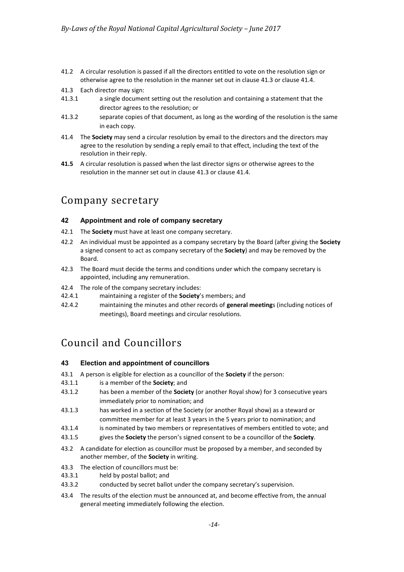- 41.2 A circular resolution is passed if all the directors entitled to vote on the resolution sign or otherwise agree to the resolution in the manner set out in clause [41.3](#page-13-0) or clause [41.4.](#page-13-1)
- <span id="page-13-0"></span>41.3 Each director may sign:
- 41.3.1 a single document setting out the resolution and containing a statement that the director agrees to the resolution; or
- 41.3.2 separate copies of that document, as long as the wording of the resolution is the same in each copy.
- <span id="page-13-1"></span>41.4 The **Society** may send a circular resolution by email to the directors and the directors may agree to the resolution by sending a reply email to that effect, including the text of the resolution in their reply.
- **41.5** A circular resolution is passed when the last director signs or otherwise agrees to the resolution in the manner set out in clause [41.3](#page-13-0) or claus[e 41.4.](#page-13-1)

# Company secretary

# **42 Appointment and role of company secretary**

- 42.1 The **Society** must have at least one company secretary.
- 42.2 An individual must be appointed as a company secretary by the Board (after giving the **Society** a signed consent to act as company secretary of the **Society**) and may be removed by the Board.
- 42.3 The Board must decide the terms and conditions under which the company secretary is appointed, including any remuneration.
- 42.4 The role of the company secretary includes:
- 42.4.1 maintaining a register of the **Society**'s members; and
- 42.4.2 maintaining the minutes and other records of **general meeting**s (including notices of meetings), Board meetings and circular resolutions.

# Council and Councillors

#### **43 Election and appointment of councillors**

- 43.1 A person is eligible for election as a councillor of the **Society** if the person:
- 43.1.1 is a member of the **Society**; and
- 43.1.2 has been a member of the **Society** (or another Royal show) for 3 consecutive years immediately prior to nomination; and
- 43.1.3 has worked in a section of the Society (or another Royal show) as a steward or committee member for at least 3 years in the 5 years prior to nomination; and
- 43.1.4 is nominated by two members or representatives of members entitled to vote; and
- 43.1.5 gives the **Society** the person's signed consent to be a councillor of the **Society**.
- 43.2 A candidate for election as councillor must be proposed by a member, and seconded by another member, of the **Society** in writing.
- 43.3 The election of councillors must be:
- 43.3.1 held by postal ballot; and
- 43.3.2 conducted by secret ballot under the company secretary's supervision.
- 43.4 The results of the election must be announced at, and become effective from, the annual general meeting immediately following the election.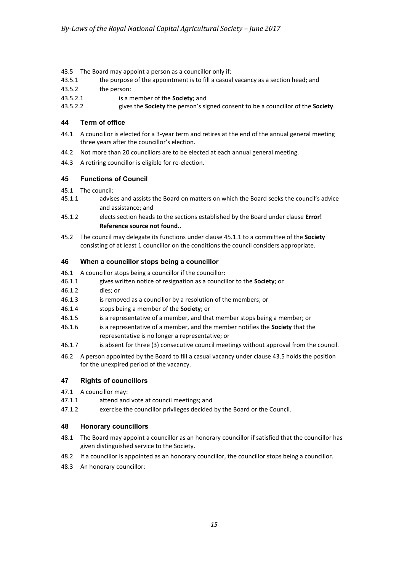- <span id="page-14-1"></span>43.5 The Board may appoint a person as a councillor only if:
- 43.5.1 the purpose of the appointment is to fill a casual vacancy as a section head; and
- 43.5.2 the person:
- 43.5.2.1 is a member of the **Society**; and
- 43.5.2.2 gives the **Society** the person's signed consent to be a councillor of the **Society**.

# **44 Term of office**

- 44.1 A councillor is elected for a 3-year term and retires at the end of the annual general meeting three years after the councillor's election.
- 44.2 Not more than 20 councillors are to be elected at each annual general meeting.
- 44.3 A retiring councillor is eligible for re-election.

# **45 Functions of Council**

- 45.1 The council:
- <span id="page-14-0"></span>45.1.1 advises and assists the Board on matters on which the Board seeks the council's advice and assistance; and
- 45.1.2 elects section heads to the sections established by the Board under clause **Error! Reference source not found.**.
- 45.2 The council may delegate its functions under clause [45.1.1](#page-14-0) to a committee of the **Society** consisting of at least 1 councillor on the conditions the council considers appropriate.

# **46 When a councillor stops being a councillor**

- 46.1 A councillor stops being a councillor if the councillor:
- 46.1.1 gives written notice of resignation as a councillor to the **Society**; or
- 46.1.2 dies; or
- 46.1.3 is removed as a councillor by a resolution of the members; or
- 46.1.4 stops being a member of the **Society**; or
- 46.1.5 is a representative of a member, and that member stops being a member; or
- 46.1.6 is a representative of a member, and the member notifies the **Society** that the representative is no longer a representative; or
- 46.1.7 is absent for three (3) consecutive council meetings without approval from the council.
- 46.2 A person appointed by the Board to fill a casual vacancy under claus[e 43.5](#page-14-1) holds the position for the unexpired period of the vacancy.

# **47 Rights of councillors**

- 47.1 A councillor may:
- 47.1.1 attend and vote at council meetings; and
- 47.1.2 exercise the councillor privileges decided by the Board or the Council.

# **48 Honorary councillors**

- 48.1 The Board may appoint a councillor as an honorary councillor if satisfied that the councillor has given distinguished service to the Society.
- 48.2 If a councillor is appointed as an honorary councillor, the councillor stops being a councillor.
- 48.3 An honorary councillor: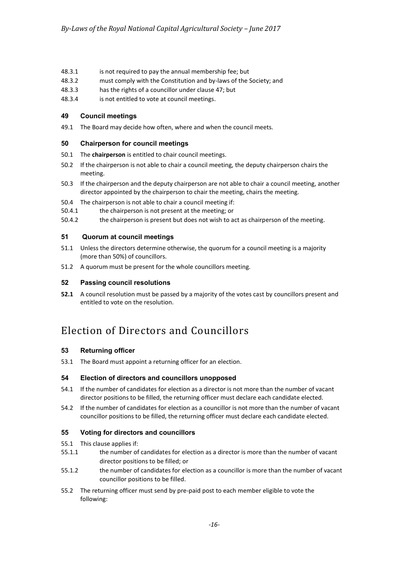- 48.3.1 is not required to pay the annual membership fee; but
- 48.3.2 must comply with the Constitution and by-laws of the Society; and
- 48.3.3 has the rights of a councillor under clause 47; but
- 48.3.4 is not entitled to vote at council meetings.

#### **49 Council meetings**

49.1 The Board may decide how often, where and when the council meets.

#### **50 Chairperson for council meetings**

- 50.1 The **chairperson** is entitled to chair council meetings.
- 50.2 If the chairperson is not able to chair a council meeting, the deputy chairperson chairs the meeting.
- 50.3 If the chairperson and the deputy chairperson are not able to chair a council meeting, another director appointed by the chairperson to chair the meeting, chairs the meeting.
- 50.4 The chairperson is not able to chair a council meeting if:
- 50.4.1 the chairperson is not present at the meeting; or
- 50.4.2 the chairperson is present but does not wish to act as chairperson of the meeting.

#### **51 Quorum at council meetings**

- 51.1 Unless the directors determine otherwise, the quorum for a council meeting is a majority (more than 50%) of councillors.
- 51.2 A quorum must be present for the whole councillors meeting.

#### **52 Passing council resolutions**

**52.1** A council resolution must be passed by a majority of the votes cast by councillors present and entitled to vote on the resolution.

# Election of Directors and Councillors

#### **53 Returning officer**

53.1 The Board must appoint a returning officer for an election.

#### **54 Election of directors and councillors unopposed**

- 54.1 If the number of candidates for election as a director is not more than the number of vacant director positions to be filled, the returning officer must declare each candidate elected.
- 54.2 If the number of candidates for election as a councillor is not more than the number of vacant councillor positions to be filled, the returning officer must declare each candidate elected.

# **55 Voting for directors and councillors**

- 55.1 This clause applies if:
- 55.1.1 the number of candidates for election as a director is more than the number of vacant director positions to be filled; or
- 55.1.2 the number of candidates for election as a councillor is more than the number of vacant councillor positions to be filled.
- 55.2 The returning officer must send by pre-paid post to each member eligible to vote the following: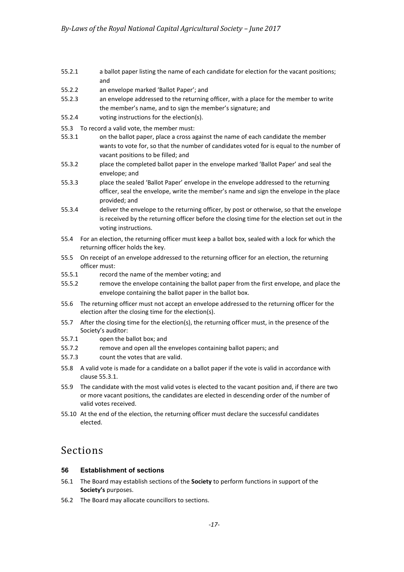- 55.2.1 a ballot paper listing the name of each candidate for election for the vacant positions; and
- 55.2.2 an envelope marked 'Ballot Paper'; and
- 55.2.3 an envelope addressed to the returning officer, with a place for the member to write the member's name, and to sign the member's signature; and
- 55.2.4 voting instructions for the election(s).
- 55.3 To record a valid vote, the member must:
- <span id="page-16-0"></span>55.3.1 on the ballot paper, place a cross against the name of each candidate the member wants to vote for, so that the number of candidates voted for is equal to the number of vacant positions to be filled; and
- 55.3.2 place the completed ballot paper in the envelope marked 'Ballot Paper' and seal the envelope; and
- 55.3.3 place the sealed 'Ballot Paper' envelope in the envelope addressed to the returning officer, seal the envelope, write the member's name and sign the envelope in the place provided; and
- 55.3.4 deliver the envelope to the returning officer, by post or otherwise, so that the envelope is received by the returning officer before the closing time for the election set out in the voting instructions.
- 55.4 For an election, the returning officer must keep a ballot box, sealed with a lock for which the returning officer holds the key.
- 55.5 On receipt of an envelope addressed to the returning officer for an election, the returning officer must:
- 55.5.1 record the name of the member voting; and
- 55.5.2 remove the envelope containing the ballot paper from the first envelope, and place the envelope containing the ballot paper in the ballot box.
- 55.6 The returning officer must not accept an envelope addressed to the returning officer for the election after the closing time for the election(s).
- 55.7 After the closing time for the election(s), the returning officer must, in the presence of the Society's auditor:
- 55.7.1 open the ballot box; and
- 55.7.2 remove and open all the envelopes containing ballot papers; and
- 55.7.3 count the votes that are valid.
- 55.8 A valid vote is made for a candidate on a ballot paper if the vote is valid in accordance with clause [55.3.1.](#page-16-0)
- 55.9 The candidate with the most valid votes is elected to the vacant position and, if there are two or more vacant positions, the candidates are elected in descending order of the number of valid votes received.
- 55.10 At the end of the election, the returning officer must declare the successful candidates elected.

# Sections

# **56 Establishment of sections**

- 56.1 The Board may establish sections of the **Society** to perform functions in support of the **Society's** purposes.
- 56.2 The Board may allocate councillors to sections.